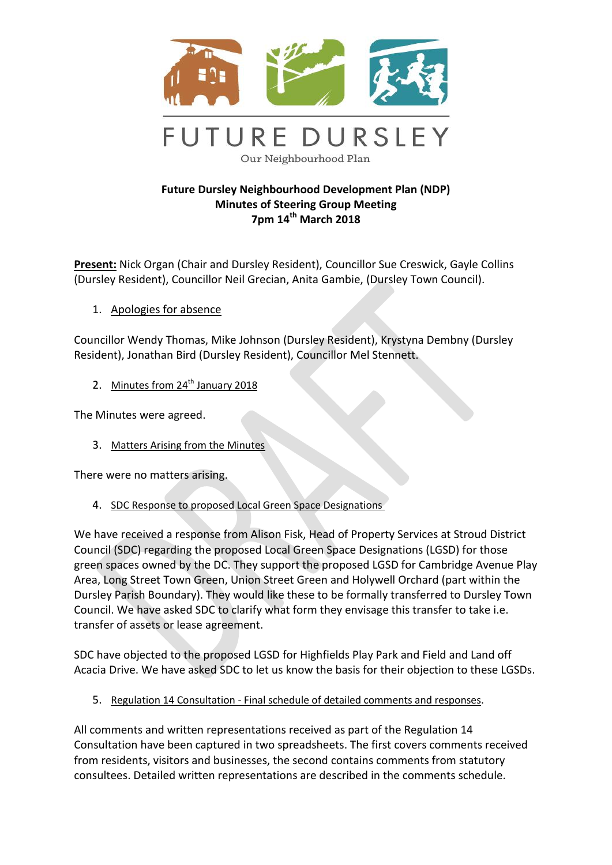

## **Future Dursley Neighbourhood Development Plan (NDP) Minutes of Steering Group Meeting 7pm 14th March 2018**

**Present:** Nick Organ (Chair and Dursley Resident), Councillor Sue Creswick, Gayle Collins (Dursley Resident), Councillor Neil Grecian, Anita Gambie, (Dursley Town Council).

1. Apologies for absence

Councillor Wendy Thomas, Mike Johnson (Dursley Resident), Krystyna Dembny (Dursley Resident), Jonathan Bird (Dursley Resident), Councillor Mel Stennett.

2. Minutes from  $24<sup>th</sup>$  January 2018

The Minutes were agreed.

3. Matters Arising from the Minutes

There were no matters arising.

4. SDC Response to proposed Local Green Space Designations

We have received a response from Alison Fisk, Head of Property Services at Stroud District Council (SDC) regarding the proposed Local Green Space Designations (LGSD) for those green spaces owned by the DC. They support the proposed LGSD for Cambridge Avenue Play Area, Long Street Town Green, Union Street Green and Holywell Orchard (part within the Dursley Parish Boundary). They would like these to be formally transferred to Dursley Town Council. We have asked SDC to clarify what form they envisage this transfer to take i.e. transfer of assets or lease agreement.

SDC have objected to the proposed LGSD for Highfields Play Park and Field and Land off Acacia Drive. We have asked SDC to let us know the basis for their objection to these LGSDs.

5. Regulation 14 Consultation - Final schedule of detailed comments and responses.

All comments and written representations received as part of the Regulation 14 Consultation have been captured in two spreadsheets. The first covers comments received from residents, visitors and businesses, the second contains comments from statutory consultees. Detailed written representations are described in the comments schedule.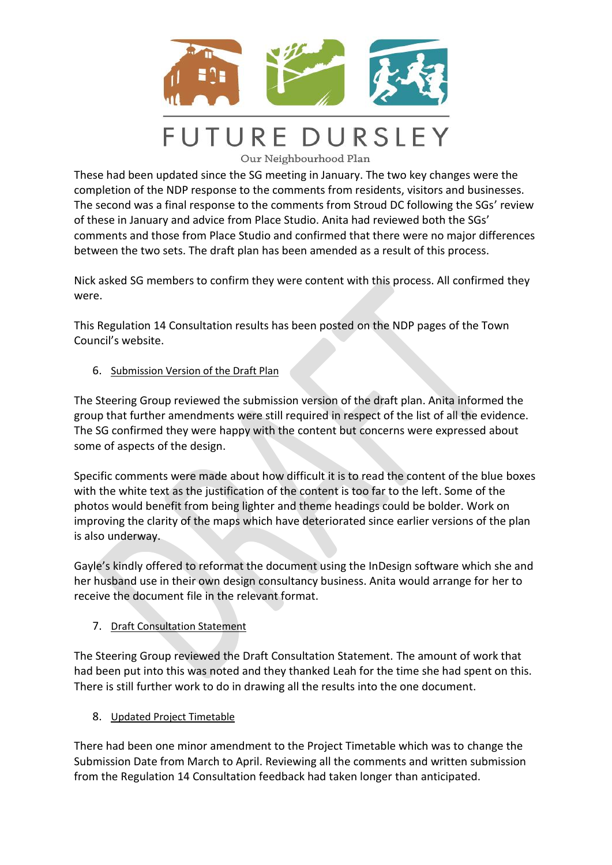

Our Neighbourhood Plan

These had been updated since the SG meeting in January. The two key changes were the completion of the NDP response to the comments from residents, visitors and businesses. The second was a final response to the comments from Stroud DC following the SGs' review of these in January and advice from Place Studio. Anita had reviewed both the SGs' comments and those from Place Studio and confirmed that there were no major differences between the two sets. The draft plan has been amended as a result of this process.

Nick asked SG members to confirm they were content with this process. All confirmed they were.

This Regulation 14 Consultation results has been posted on the NDP pages of the Town Council's website.

6. Submission Version of the Draft Plan

The Steering Group reviewed the submission version of the draft plan. Anita informed the group that further amendments were still required in respect of the list of all the evidence. The SG confirmed they were happy with the content but concerns were expressed about some of aspects of the design.

Specific comments were made about how difficult it is to read the content of the blue boxes with the white text as the justification of the content is too far to the left. Some of the photos would benefit from being lighter and theme headings could be bolder. Work on improving the clarity of the maps which have deteriorated since earlier versions of the plan is also underway.

Gayle's kindly offered to reformat the document using the InDesign software which she and her husband use in their own design consultancy business. Anita would arrange for her to receive the document file in the relevant format.

7. Draft Consultation Statement

The Steering Group reviewed the Draft Consultation Statement. The amount of work that had been put into this was noted and they thanked Leah for the time she had spent on this. There is still further work to do in drawing all the results into the one document.

8. Updated Project Timetable

There had been one minor amendment to the Project Timetable which was to change the Submission Date from March to April. Reviewing all the comments and written submission from the Regulation 14 Consultation feedback had taken longer than anticipated.